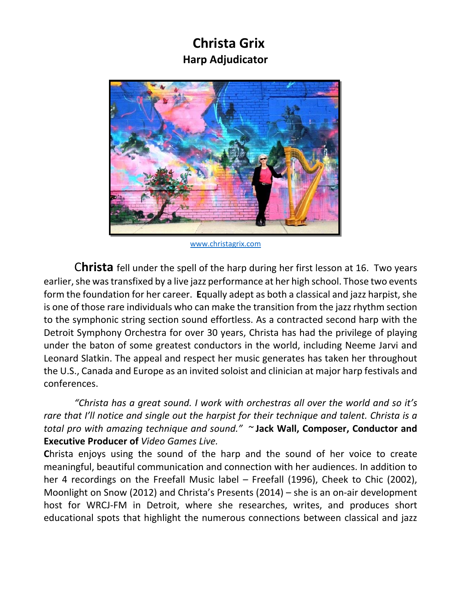## **Christa Grix Harp Adjudicator**



www.christagrix.com

C**hrista** fell under the spell of the harp during her first lesson at 16. Two years earlier, she was transfixed by a live jazz performance at her high school. Those two events form the foundation for her career. **E**qually adept as both a classical and jazz harpist, she is one of those rare individuals who can make the transition from the jazz rhythm section to the symphonic string section sound effortless. As a contracted second harp with the Detroit Symphony Orchestra for over 30 years, Christa has had the privilege of playing under the baton of some greatest conductors in the world, including Neeme Jarvi and Leonard Slatkin. The appeal and respect her music generates has taken her throughout the U.S., Canada and Europe as an invited soloist and clinician at major harp festivals and conferences.

*"Christa has a great sound. I work with orchestras all over the world and so it's rare that I'll notice and single out the harpist for their technique and talent. Christa is a total pro with amazing technique and sound." ~* **Jack Wall, Composer, Conductor and Executive Producer of** *Video Games Live.*

Christa enjoys using the sound of the harp and the sound of her voice to create meaningful, beautiful communication and connection with her audiences. In addition to her 4 recordings on the Freefall Music label – Freefall (1996), Cheek to Chic (2002), Moonlight on Snow (2012) and Christa's Presents (2014) – she is an on‐air development host for WRCJ-FM in Detroit, where she researches, writes, and produces short educational spots that highlight the numerous connections between classical and jazz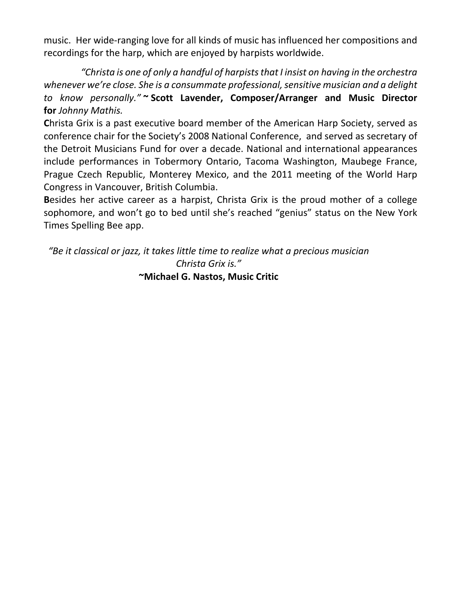music. Her wide‐ranging love for all kinds of music has influenced her compositions and recordings for the harp, which are enjoyed by harpists worldwide.

*"Christa is one of only a handful of harpists that I insist on having in the orchestra whenever we're close. She is a consummate professional, sensitive musician and a delight to know personally."* **~ Scott Lavender, Composer/Arranger and Music Director for** *Johnny Mathis.*

**C**hrista Grix is a past executive board member of the American Harp Society, served as conference chair for the Society's 2008 National Conference, and served as secretary of the Detroit Musicians Fund for over a decade. National and international appearances include performances in Tobermory Ontario, Tacoma Washington, Maubege France, Prague Czech Republic, Monterey Mexico, and the 2011 meeting of the World Harp Congress in Vancouver, British Columbia.

**B**esides her active career as a harpist, Christa Grix is the proud mother of a college sophomore, and won't go to bed until she's reached "genius" status on the New York Times Spelling Bee app.

*"Be it classical or jazz, it takes little time to realize what a precious musician Christa Grix is."* **~Michael G. Nastos, Music Critic**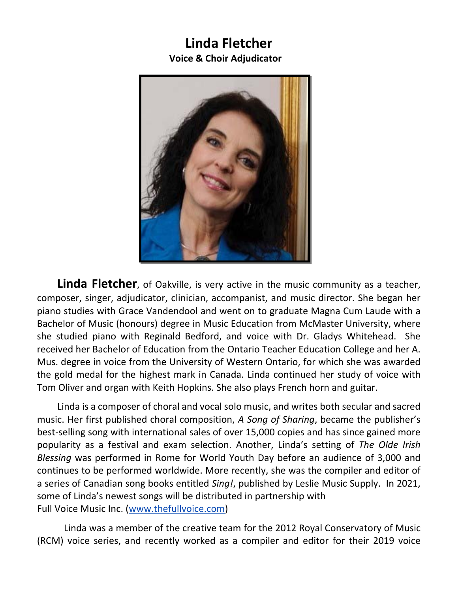#### **Linda Fletcher Voice & Choir Adjudicator**



**Linda Fletcher**, of Oakville, is very active in the music community as a teacher, composer, singer, adjudicator, clinician, accompanist, and music director. She began her piano studies with Grace Vandendool and went on to graduate Magna Cum Laude with a Bachelor of Music (honours) degree in Music Education from McMaster University, where she studied piano with Reginald Bedford, and voice with Dr. Gladys Whitehead. She received her Bachelor of Education from the Ontario Teacher Education College and her A. Mus. degree in voice from the University of Western Ontario, for which she was awarded the gold medal for the highest mark in Canada. Linda continued her study of voice with Tom Oliver and organ with Keith Hopkins. She also plays French horn and guitar.

Linda is a composer of choral and vocal solo music, and writes both secular and sacred music. Her first published choral composition, *A Song of Sharing*, became the publisher's best-selling song with international sales of over 15,000 copies and has since gained more popularity as a festival and exam selection. Another, Linda's setting of *The Olde Irish Blessing* was performed in Rome for World Youth Day before an audience of 3,000 and continues to be performed worldwide. More recently, she was the compiler and editor of a series of Canadian song books entitled *Sing!*, published by Leslie Music Supply. In 2021, some of Linda's newest songs will be distributed in partnership with Full Voice Music Inc. (www.thefullvoice.com)

Linda was a member of the creative team for the 2012 Royal Conservatory of Music (RCM) voice series, and recently worked as a compiler and editor for their 2019 voice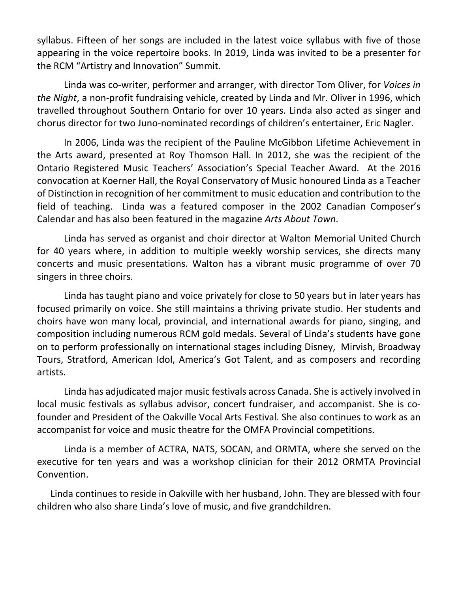syllabus. Fifteen of her songs are included in the latest voice syllabus with five of those appearing in the voice repertoire books. In 2019, Linda was invited to be a presenter for the RCM "Artistry and Innovation" Summit.

Linda was co‐writer, performer and arranger, with director Tom Oliver, for *Voices in the Night*, a non‐profit fundraising vehicle, created by Linda and Mr. Oliver in 1996, which travelled throughout Southern Ontario for over 10 years. Linda also acted as singer and chorus director for two Juno‐nominated recordings of children's entertainer, Eric Nagler.

In 2006, Linda was the recipient of the Pauline McGibbon Lifetime Achievement in the Arts award, presented at Roy Thomson Hall. In 2012, she was the recipient of the Ontario Registered Music Teachers' Association's Special Teacher Award. At the 2016 convocation at Koerner Hall, the Royal Conservatory of Music honoured Linda as a Teacher of Distinction in recognition of her commitment to music education and contribution to the field of teaching. Linda was a featured composer in the 2002 Canadian Composer's Calendar and has also been featured in the magazine *Arts About Town*.

Linda has served as organist and choir director at Walton Memorial United Church for 40 years where, in addition to multiple weekly worship services, she directs many concerts and music presentations. Walton has a vibrant music programme of over 70 singers in three choirs.

Linda has taught piano and voice privately for close to 50 years but in later years has focused primarily on voice. She still maintains a thriving private studio. Her students and choirs have won many local, provincial, and international awards for piano, singing, and composition including numerous RCM gold medals. Several of Linda's students have gone on to perform professionally on international stages including Disney, Mirvish, Broadway Tours, Stratford, American Idol, America's Got Talent, and as composers and recording artists.

Linda has adjudicated major music festivals across Canada. She is actively involved in local music festivals as syllabus advisor, concert fundraiser, and accompanist. She is cofounder and President of the Oakville Vocal Arts Festival. She also continues to work as an accompanist for voice and music theatre for the OMFA Provincial competitions.

Linda is a member of ACTRA, NATS, SOCAN, and ORMTA, where she served on the executive for ten years and was a workshop clinician for their 2012 ORMTA Provincial Convention.

Linda continues to reside in Oakville with her husband, John. They are blessed with four children who also share Linda's love of music, and five grandchildren.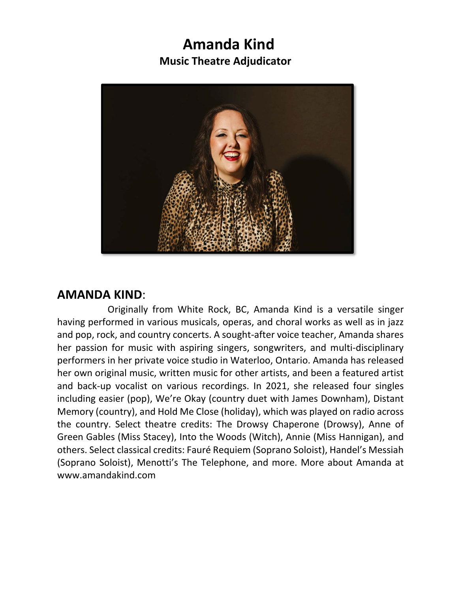## **Amanda Kind Music Theatre Adjudicator**



#### **AMANDA KIND**:

 Originally from White Rock, BC, Amanda Kind is a versatile singer having performed in various musicals, operas, and choral works as well as in jazz and pop, rock, and country concerts. A sought‐after voice teacher, Amanda shares her passion for music with aspiring singers, songwriters, and multi-disciplinary performers in her private voice studio in Waterloo, Ontario. Amanda has released her own original music, written music for other artists, and been a featured artist and back‐up vocalist on various recordings. In 2021, she released four singles including easier (pop), We're Okay (country duet with James Downham), Distant Memory (country), and Hold Me Close (holiday), which was played on radio across the country. Select theatre credits: The Drowsy Chaperone (Drowsy), Anne of Green Gables (Miss Stacey), Into the Woods (Witch), Annie (Miss Hannigan), and others. Select classical credits: Fauré Requiem (Soprano Soloist), Handel's Messiah (Soprano Soloist), Menotti's The Telephone, and more. More about Amanda at www.amandakind.com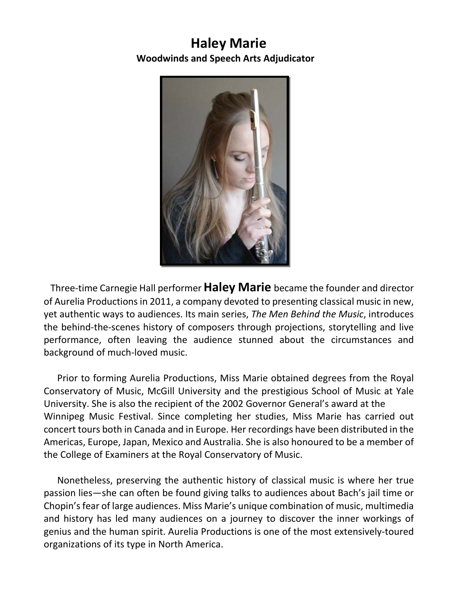### **Haley Marie Woodwinds and Speech Arts Adjudicator**



Three‐time Carnegie Hall performer **Haley Marie** became the founder and director of Aurelia Productions in 2011, a company devoted to presenting classical music in new, yet authentic ways to audiences. Its main series, *The Men Behind the Music*, introduces the behind‐the‐scenes history of composers through projections, storytelling and live performance, often leaving the audience stunned about the circumstances and background of much‐loved music.

Prior to forming Aurelia Productions, Miss Marie obtained degrees from the Royal Conservatory of Music, McGill University and the prestigious School of Music at Yale University. She is also the recipient of the 2002 Governor General's award at the Winnipeg Music Festival. Since completing her studies, Miss Marie has carried out concert tours both in Canada and in Europe. Her recordings have been distributed in the Americas, Europe, Japan, Mexico and Australia. She is also honoured to be a member of the College of Examiners at the Royal Conservatory of Music.

Nonetheless, preserving the authentic history of classical music is where her true passion lies—she can often be found giving talks to audiences about Bach's jail time or Chopin's fear of large audiences. Miss Marie's unique combination of music, multimedia and history has led many audiences on a journey to discover the inner workings of genius and the human spirit. Aurelia Productions is one of the most extensively‐toured organizations of its type in North America.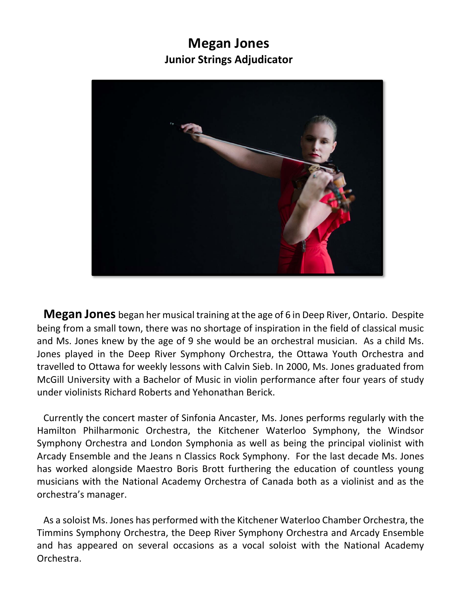### **Megan Jones Junior Strings Adjudicator**



**Megan Jones** began her musical training at the age of 6 in Deep River, Ontario. Despite being from a small town, there was no shortage of inspiration in the field of classical music and Ms. Jones knew by the age of 9 she would be an orchestral musician. As a child Ms. Jones played in the Deep River Symphony Orchestra, the Ottawa Youth Orchestra and travelled to Ottawa for weekly lessons with Calvin Sieb. In 2000, Ms. Jones graduated from McGill University with a Bachelor of Music in violin performance after four years of study under violinists Richard Roberts and Yehonathan Berick.

Currently the concert master of Sinfonia Ancaster, Ms. Jones performs regularly with the Hamilton Philharmonic Orchestra, the Kitchener Waterloo Symphony, the Windsor Symphony Orchestra and London Symphonia as well as being the principal violinist with Arcady Ensemble and the Jeans n Classics Rock Symphony. For the last decade Ms. Jones has worked alongside Maestro Boris Brott furthering the education of countless young musicians with the National Academy Orchestra of Canada both as a violinist and as the orchestra's manager.

As a soloist Ms. Jones has performed with the Kitchener Waterloo Chamber Orchestra, the Timmins Symphony Orchestra, the Deep River Symphony Orchestra and Arcady Ensemble and has appeared on several occasions as a vocal soloist with the National Academy Orchestra.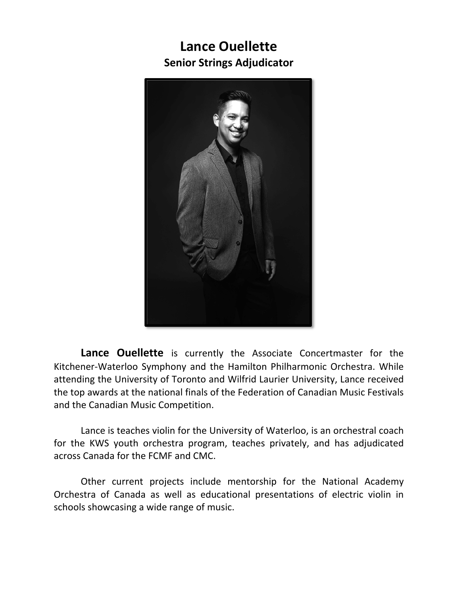## **Lance Ouellette Senior Strings Adjudicator**



**Lance Ouellette** is currently the Associate Concertmaster for the Kitchener‐Waterloo Symphony and the Hamilton Philharmonic Orchestra. While attending the University of Toronto and Wilfrid Laurier University, Lance received the top awards at the national finals of the Federation of Canadian Music Festivals and the Canadian Music Competition.

Lance is teaches violin for the University of Waterloo, is an orchestral coach for the KWS youth orchestra program, teaches privately, and has adjudicated across Canada for the FCMF and CMC.

Other current projects include mentorship for the National Academy Orchestra of Canada as well as educational presentations of electric violin in schools showcasing a wide range of music.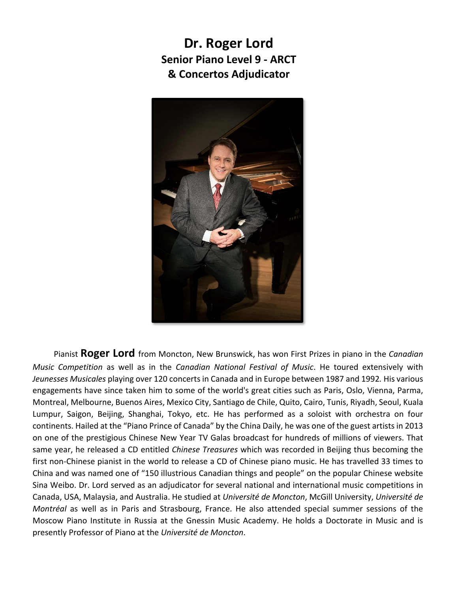**Dr. Roger Lord Senior Piano Level 9 ‐ ARCT & Concertos Adjudicator** 



Pianist **Roger Lord** from Moncton, New Brunswick, has won First Prizes in piano in the *Canadian Music Competition*  as well as in the *Canadian National Festival of Music*. He toured extensively with *Jeunesses Musicales* playing over 120 concerts in Canada and in Europe between 1987 and 1992*.* His various engagements have since taken him to some of the world's great cities such as Paris, Oslo, Vienna, Parma, Montreal, Melbourne, Buenos Aires, Mexico City, Santiago de Chile, Quito, Cairo, Tunis, Riyadh, Seoul, Kuala Lumpur, Saigon, Beijing, Shanghai, Tokyo, etc. He has performed as a soloist with orchestra on four continents. Hailed at the "Piano Prince of Canada" by the China Daily, he was one of the guest artists in 2013 on one of the prestigious Chinese New Year TV Galas broadcast for hundreds of millions of viewers. That same year, he released a CD entitled *Chinese Treasures* which was recorded in Beijing thus becoming the first non‐Chinese pianist in the world to release a CD of Chinese piano music. He has travelled 33 times to China and was named one of "150 illustrious Canadian things and people" on the popular Chinese website Sina Weibo. Dr. Lord served as an adjudicator for several national and international music competitions in Canada, USA, Malaysia, and Australia. He studied at *Université de Moncton*, McGill University, *Université de Montréal* as well as in Paris and Strasbourg, France. He also attended special summer sessions of the Moscow Piano Institute in Russia at the Gnessin Music Academy. He holds a Doctorate in Music and is presently Professor of Piano at the *Université de Moncton*.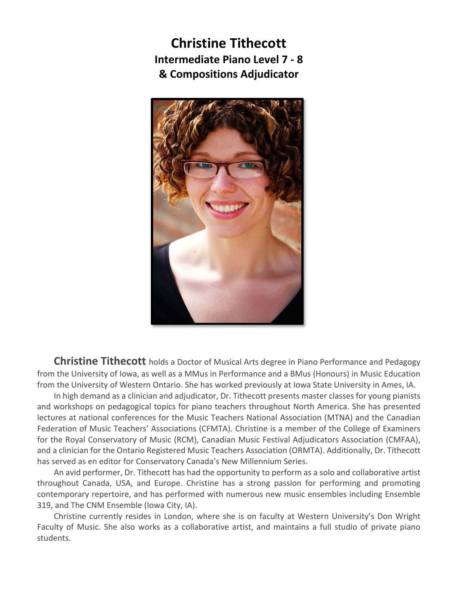**Christine Tithecott Intermediate Piano Level 7 ‐ 8 & Compositions Adjudicator** 



**Christine Tithecott** holds a Doctor of Musical Arts degree in Piano Performance and Pedagogy from the University of Iowa, as well as a MMus in Performance and a BMus (Honours) in Music Education from the University of Western Ontario. She has worked previously at Iowa State University in Ames, IA.

In high demand as a clinician and adjudicator, Dr. Tithecott presents master classes for young pianists and workshops on pedagogical topics for piano teachers throughout North America. She has presented lectures at national conferences for the Music Teachers National Association (MTNA) and the Canadian Federation of Music Teachers' Associations (CFMTA). Christine is a member of the College of Examiners for the Royal Conservatory of Music (RCM), Canadian Music Festival Adjudicators Association (CMFAA), and a clinician for the Ontario Registered Music Teachers Association (ORMTA). Additionally, Dr. Tithecott has served as en editor for Conservatory Canada's New Millennium Series.

An avid performer, Dr. Tithecott has had the opportunity to perform as a solo and collaborative artist throughout Canada, USA, and Europe. Christine has a strong passion for performing and promoting contemporary repertoire, and has performed with numerous new music ensembles including Ensemble 319, and The CNM Ensemble (Iowa City, IA).

Christine currently resides in London, where she is on faculty at Western University's Don Wright Faculty of Music. She also works as a collaborative artist, and maintains a full studio of private piano students.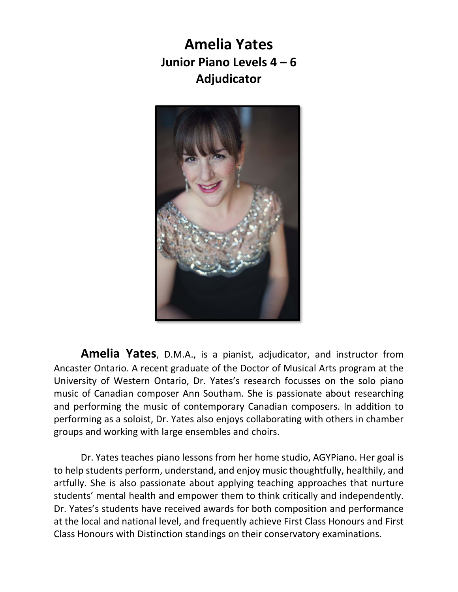**Amelia Yates Junior Piano Levels 4 – 6 Adjudicator** 



**Amelia Yates**, D.M.A., is a pianist, adjudicator, and instructor from Ancaster Ontario. A recent graduate of the Doctor of Musical Arts program at the University of Western Ontario, Dr. Yates's research focusses on the solo piano music of Canadian composer Ann Southam. She is passionate about researching and performing the music of contemporary Canadian composers. In addition to performing as a soloist, Dr. Yates also enjoys collaborating with others in chamber groups and working with large ensembles and choirs.

Dr. Yates teaches piano lessons from her home studio, AGYPiano. Her goal is to help students perform, understand, and enjoy music thoughtfully, healthily, and artfully. She is also passionate about applying teaching approaches that nurture students' mental health and empower them to think critically and independently. Dr. Yates's students have received awards for both composition and performance at the local and national level, and frequently achieve First Class Honours and First Class Honours with Distinction standings on their conservatory examinations.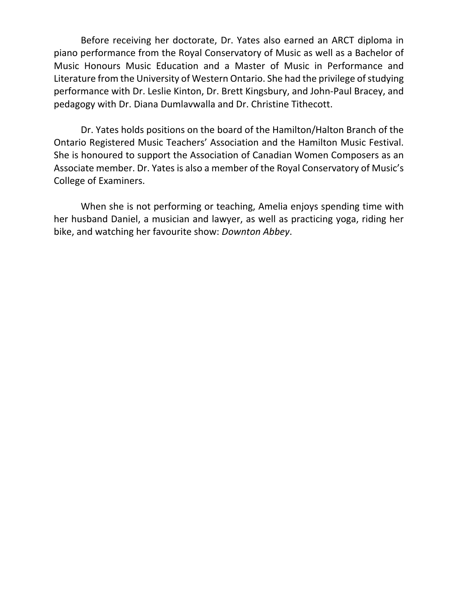Before receiving her doctorate, Dr. Yates also earned an ARCT diploma in piano performance from the Royal Conservatory of Music as well as a Bachelor of Music Honours Music Education and a Master of Music in Performance and Literature from the University of Western Ontario. She had the privilege of studying performance with Dr. Leslie Kinton, Dr. Brett Kingsbury, and John‐Paul Bracey, and pedagogy with Dr. Diana Dumlavwalla and Dr. Christine Tithecott.

Dr. Yates holds positions on the board of the Hamilton/Halton Branch of the Ontario Registered Music Teachers' Association and the Hamilton Music Festival. She is honoured to support the Association of Canadian Women Composers as an Associate member. Dr. Yates is also a member of the Royal Conservatory of Music's College of Examiners.

When she is not performing or teaching, Amelia enjoys spending time with her husband Daniel, a musician and lawyer, as well as practicing yoga, riding her bike, and watching her favourite show: *Downton Abbey*.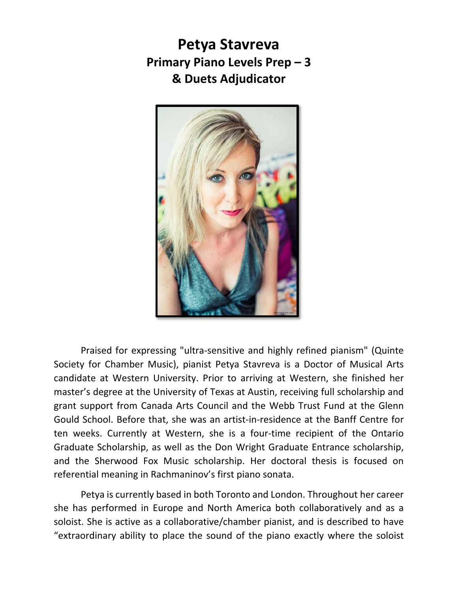# **Petya Stavreva Primary Piano Levels Prep – 3 & Duets Adjudicator**



Praised for expressing "ultra‐sensitive and highly refined pianism" (Quinte Society for Chamber Music), pianist Petya Stavreva is a Doctor of Musical Arts candidate at Western University. Prior to arriving at Western, she finished her master's degree at the University of Texas at Austin, receiving full scholarship and grant support from Canada Arts Council and the Webb Trust Fund at the Glenn Gould School. Before that, she was an artist‐in‐residence at the Banff Centre for ten weeks. Currently at Western, she is a four‐time recipient of the Ontario Graduate Scholarship, as well as the Don Wright Graduate Entrance scholarship, and the Sherwood Fox Music scholarship. Her doctoral thesis is focused on referential meaning in Rachmaninov's first piano sonata.

Petya is currently based in both Toronto and London. Throughout her career she has performed in Europe and North America both collaboratively and as a soloist. She is active as a collaborative/chamber pianist, and is described to have "extraordinary ability to place the sound of the piano exactly where the soloist